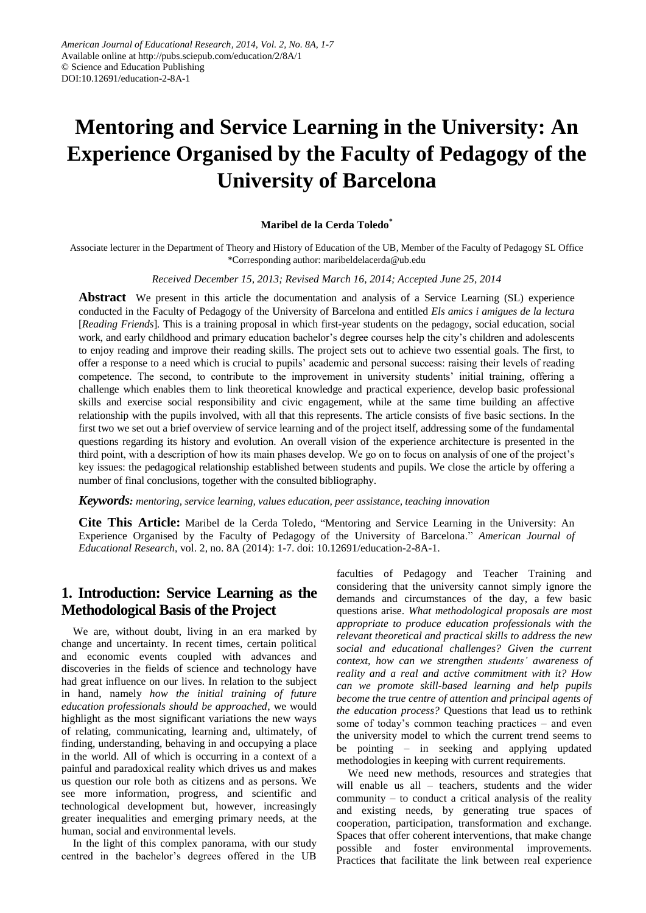# **Mentoring and Service Learning in the University: An Experience Organised by the Faculty of Pedagogy of the University of Barcelona**

#### **Maribel de la Cerda Toledo\***

Associate lecturer in the Department of Theory and History of Education of the UB, Member of the Faculty of Pedagogy SL Office \*Corresponding author: maribeldelacerda@ub.edu

#### *Received December 15, 2013; Revised March 16, 2014; Accepted June 25, 2014*

**Abstract** We present in this article the documentation and analysis of a Service Learning (SL) experience conducted in the Faculty of Pedagogy of the University of Barcelona and entitled *Els amics i amigues de la lectura* [*Reading Friends*]*.* This is a training proposal in which first-year students on the pedagogy, social education, social work, and early childhood and primary education bachelor's degree courses help the city's children and adolescents to enjoy reading and improve their reading skills. The project sets out to achieve two essential goals. The first, to offer a response to a need which is crucial to pupils' academic and personal success: raising their levels of reading competence. The second, to contribute to the improvement in university students' initial training, offering a challenge which enables them to link theoretical knowledge and practical experience, develop basic professional skills and exercise social responsibility and civic engagement, while at the same time building an affective relationship with the pupils involved, with all that this represents. The article consists of five basic sections. In the first two we set out a brief overview of service learning and of the project itself, addressing some of the fundamental questions regarding its history and evolution. An overall vision of the experience architecture is presented in the third point, with a description of how its main phases develop. We go on to focus on analysis of one of the project's key issues: the pedagogical relationship established between students and pupils. We close the article by offering a number of final conclusions, together with the consulted bibliography.

*Keywords: mentoring, service learning, values education, peer assistance, teaching innovation*

**Cite This Article:** Maribel de la Cerda Toledo, "Mentoring and Service Learning in the University: An Experience Organised by the Faculty of Pedagogy of the University of Barcelona." *American Journal of Educational Research*, vol. 2, no. 8A (2014): 1-7. doi: 10.12691/education-2-8A-1.

# **1. Introduction: Service Learning as the Methodological Basis of the Project**

We are, without doubt, living in an era marked by change and uncertainty. In recent times, certain political and economic events coupled with advances and discoveries in the fields of science and technology have had great influence on our lives. In relation to the subject in hand, namely *how the initial training of future education professionals should be approached*, we would highlight as the most significant variations the new ways of relating, communicating, learning and, ultimately, of finding, understanding, behaving in and occupying a place in the world. All of which is occurring in a context of a painful and paradoxical reality which drives us and makes us question our role both as citizens and as persons. We see more information, progress, and scientific and technological development but, however, increasingly greater inequalities and emerging primary needs, at the human, social and environmental levels.

In the light of this complex panorama, with our study centred in the bachelor's degrees offered in the UB faculties of Pedagogy and Teacher Training and considering that the university cannot simply ignore the demands and circumstances of the day, a few basic questions arise. *What methodological proposals are most appropriate to produce education professionals with the relevant theoretical and practical skills to address the new social and educational challenges? Given the current context, how can we strengthen students' awareness of reality and a real and active commitment with it? How can we promote skill-based learning and help pupils become the true centre of attention and principal agents of the education process?* Questions that lead us to rethink some of today's common teaching practices – and even the university model to which the current trend seems to be pointing – in seeking and applying updated methodologies in keeping with current requirements.

We need new methods, resources and strategies that will enable us all – teachers, students and the wider community – to conduct a critical analysis of the reality and existing needs, by generating true spaces of cooperation, participation, transformation and exchange. Spaces that offer coherent interventions, that make change possible and foster environmental improvements. Practices that facilitate the link between real experience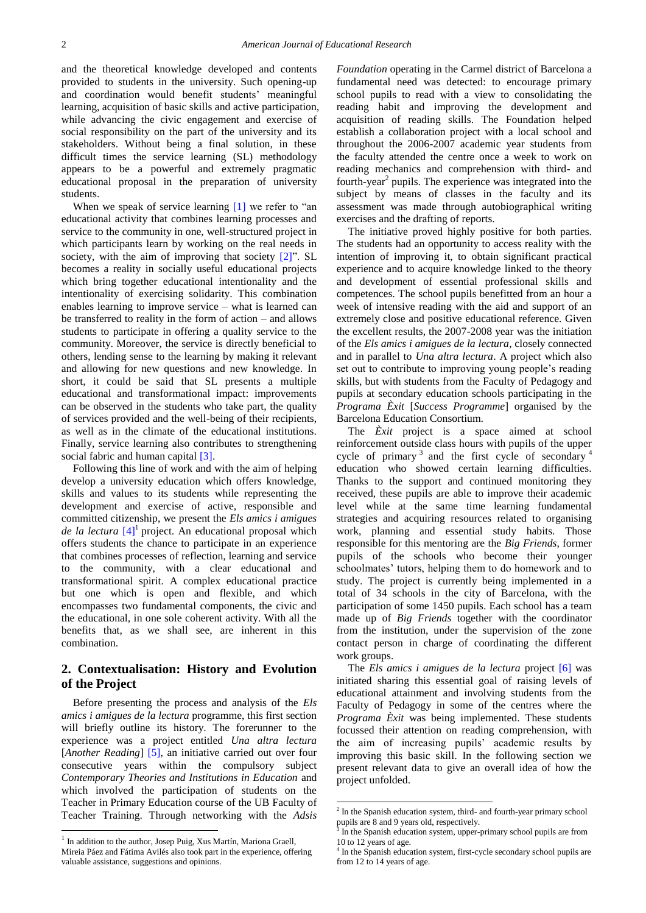and the theoretical knowledge developed and contents provided to students in the university. Such opening-up and coordination would benefit students' meaningful learning, acquisition of basic skills and active participation, while advancing the civic engagement and exercise of social responsibility on the part of the university and its stakeholders. Without being a final solution, in these difficult times the service learning (SL) methodology appears to be a powerful and extremely pragmatic educational proposal in the preparation of university students.

When we speak of service learning  $[1]$  we refer to "an educational activity that combines learning processes and service to the community in one, well-structured project in which participants learn by working on the real needs in society, with the aim of improving that society [\[2\]"](#page-6-1). SL becomes a reality in socially useful educational projects which bring together educational intentionality and the intentionality of exercising solidarity. This combination enables learning to improve service – what is learned can be transferred to reality in the form of action – and allows students to participate in offering a quality service to the community. Moreover, the service is directly beneficial to others, lending sense to the learning by making it relevant and allowing for new questions and new knowledge. In short, it could be said that SL presents a multiple educational and transformational impact: improvements can be observed in the students who take part, the quality of services provided and the well-being of their recipients, as well as in the climate of the educational institutions. Finally, service learning also contributes to strengthening social fabric and human capital [\[3\].](#page-6-2)

Following this line of work and with the aim of helping develop a university education which offers knowledge, skills and values to its students while representing the development and exercise of active, responsible and committed citizenship, we present the *Els amics i amigues de la lectura* [\[4\]](#page-6-3)<sup>1</sup> project. An educational proposal which offers students the chance to participate in an experience that combines processes of reflection, learning and service to the community, with a clear educational and transformational spirit. A complex educational practice but one which is open and flexible, and which encompasses two fundamental components, the civic and the educational, in one sole coherent activity. With all the benefits that, as we shall see, are inherent in this combination.

#### **2. Contextualisation: History and Evolution of the Project**

Before presenting the process and analysis of the *Els amics i amigues de la lectura* programme, this first section will briefly outline its history. The forerunner to the experience was a project entitled *Una altra lectura* [*Another Reading*] [\[5\],](#page-6-4) an initiative carried out over four consecutive years within the compulsory subject *Contemporary Theories and Institutions in Education* and which involved the participation of students on the Teacher in Primary Education course of the UB Faculty of Teacher Training. Through networking with the *Adsis*  *Foundation* operating in the Carmel district of Barcelona a fundamental need was detected: to encourage primary school pupils to read with a view to consolidating the reading habit and improving the development and acquisition of reading skills. The Foundation helped establish a collaboration project with a local school and throughout the 2006-2007 academic year students from the faculty attended the centre once a week to work on reading mechanics and comprehension with third- and fourth-year<sup>2</sup> pupils. The experience was integrated into the subject by means of classes in the faculty and its assessment was made through autobiographical writing exercises and the drafting of reports.

The initiative proved highly positive for both parties. The students had an opportunity to access reality with the intention of improving it, to obtain significant practical experience and to acquire knowledge linked to the theory and development of essential professional skills and competences. The school pupils benefitted from an hour a week of intensive reading with the aid and support of an extremely close and positive educational reference. Given the excellent results, the 2007-2008 year was the initiation of the *Els amics i amigues de la lectura*, closely connected and in parallel to *Una altra lectura*. A project which also set out to contribute to improving young people's reading skills, but with students from the Faculty of Pedagogy and pupils at secondary education schools participating in the *Programa Èxit* [*Success Programme*] organised by the Barcelona Education Consortium.

The *Èxit* project is a space aimed at school reinforcement outside class hours with pupils of the upper cycle of primary<sup>3</sup> and the first cycle of secondary<sup>4</sup> education who showed certain learning difficulties. Thanks to the support and continued monitoring they received, these pupils are able to improve their academic level while at the same time learning fundamental strategies and acquiring resources related to organising work, planning and essential study habits. Those responsible for this mentoring are the *Big Friends*, former pupils of the schools who become their younger schoolmates' tutors, helping them to do homework and to study. The project is currently being implemented in a total of 34 schools in the city of Barcelona, with the participation of some 1450 pupils. Each school has a team made up of *Big Friends* together with the coordinator from the institution, under the supervision of the zone contact person in charge of coordinating the different work groups.

The *Els amics i amigues de la lectura* project [\[6\]](#page-6-5) was initiated sharing this essential goal of raising levels of educational attainment and involving students from the Faculty of Pedagogy in some of the centres where the *Programa Èxit* was being implemented. These students focussed their attention on reading comprehension, with the aim of increasing pupils' academic results by improving this basic skill. In the following section we present relevant data to give an overall idea of how the project unfolded.

 1 In addition to the author, Josep Puig, Xus Martín, Mariona Graell,

Mireia Páez and Fátima Avil és also took part in the experience, offering valuable assistance, suggestions and opinions.

 2 In the Spanish education system, third- and fourth-year primary school pupils are 8 and 9 years old, respectively.

In the Spanish education system, upper-primary school pupils are from 10 to 12 years of age.

<sup>&</sup>lt;sup>4</sup> In the Spanish education system, first-cycle secondary school pupils are from 12 to 14 years of age.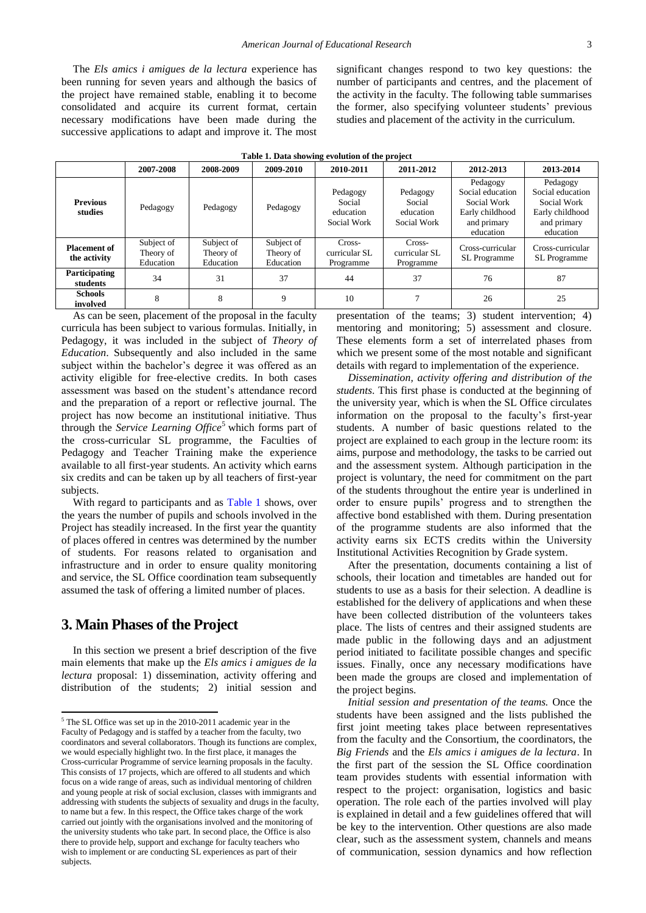The *Els amics i amigues de la lectura* experience has been running for seven years and although the basics of the project have remained stable, enabling it to become consolidated and acquire its current format, certain necessary modifications have been made during the successive applications to adapt and improve it. The most significant changes respond to two key questions: the number of participants and centres, and the placement of the activity in the faculty. The following table summarises the former, also specifying volunteer students' previous studies and placement of the activity in the curriculum.

<span id="page-2-0"></span>

| Table 1: Data showing evolution of the project |                                      |                                      |                                      |                                                |                                                |                                                                                            |                                                                                            |  |
|------------------------------------------------|--------------------------------------|--------------------------------------|--------------------------------------|------------------------------------------------|------------------------------------------------|--------------------------------------------------------------------------------------------|--------------------------------------------------------------------------------------------|--|
|                                                | 2007-2008                            | 2008-2009                            | 2009-2010                            | 2010-2011                                      | 2011-2012                                      | 2012-2013                                                                                  | 2013-2014                                                                                  |  |
| <b>Previous</b><br>studies                     | Pedagogy                             | Pedagogy                             | Pedagogy                             | Pedagogy<br>Social<br>education<br>Social Work | Pedagogy<br>Social<br>education<br>Social Work | Pedagogy<br>Social education<br>Social Work<br>Early childhood<br>and primary<br>education | Pedagogy<br>Social education<br>Social Work<br>Early childhood<br>and primary<br>education |  |
| <b>Placement of</b><br>the activity            | Subject of<br>Theory of<br>Education | Subject of<br>Theory of<br>Education | Subject of<br>Theory of<br>Education | Cross-<br>curricular SL<br>Programme           | Cross-<br>curricular SL<br>Programme           | Cross-curricular<br>SL Programme                                                           | Cross-curricular<br><b>SL</b> Programme                                                    |  |
| Participating<br>students                      | 34                                   | 31                                   | 37                                   | 44                                             | 37                                             | 76                                                                                         | 87                                                                                         |  |
| <b>Schools</b><br>involved                     | 8                                    | 8                                    | 9                                    | 10                                             |                                                | 26                                                                                         | 25                                                                                         |  |
|                                                |                                      |                                      |                                      |                                                |                                                |                                                                                            |                                                                                            |  |

**Table 1. Data showing evolution of the project**

As can be seen, placement of the proposal in the faculty curricula has been subject to various formulas. Initially, in Pedagogy, it was included in the subject of *Theory of Education*. Subsequently and also included in the same subject within the bachelor's degree it was offered as an activity eligible for free-elective credits. In both cases assessment was based on the student's attendance record and the preparation of a report or reflective journal. The project has now become an institutional initiative. Thus through the *Service Learning Office*<sup>5</sup> which forms part of the cross-curricular SL programme, the Faculties of Pedagogy and Teacher Training make the experience available to all first-year students. An activity which earns six credits and can be taken up by all teachers of first-year subjects.

With regard to participants and as [Table 1](#page-2-0) shows, over the years the number of pupils and schools involved in the Project has steadily increased. In the first year the quantity of places offered in centres was determined by the number of students. For reasons related to organisation and infrastructure and in order to ensure quality monitoring and service, the SL Office coordination team subsequently assumed the task of offering a limited number of places.

## **3. Main Phases of the Project**

**.** 

In this section we present a brief description of the five main elements that make up the *Els amics i amigues de la lectura* proposal: 1) dissemination, activity offering and distribution of the students; 2) initial session and presentation of the teams; 3) student intervention; 4) mentoring and monitoring; 5) assessment and closure. These elements form a set of interrelated phases from which we present some of the most notable and significant details with regard to implementation of the experience.

*Dissemination, activity offering and distribution of the students*. This first phase is conducted at the beginning of the university year, which is when the SL Office circulates information on the proposal to the faculty's first-year students. A number of basic questions related to the project are explained to each group in the lecture room: its aims, purpose and methodology, the tasks to be carried out and the assessment system. Although participation in the project is voluntary, the need for commitment on the part of the students throughout the entire year is underlined in order to ensure pupils' progress and to strengthen the affective bond established with them. During presentation of the programme students are also informed that the activity earns six ECTS credits within the University Institutional Activities Recognition by Grade system.

After the presentation, documents containing a list of schools, their location and timetables are handed out for students to use as a basis for their selection. A deadline is established for the delivery of applications and when these have been collected distribution of the volunteers takes place. The lists of centres and their assigned students are made public in the following days and an adjustment period initiated to facilitate possible changes and specific issues. Finally, once any necessary modifications have been made the groups are closed and implementation of the project begins.

*Initial session and presentation of the teams.* Once the students have been assigned and the lists published the first joint meeting takes place between representatives from the faculty and the Consortium, the coordinators, the *Big Friends* and the *Els amics i amigues de la lectura*. In the first part of the session the SL Office coordination team provides students with essential information with respect to the project: organisation, logistics and basic operation. The role each of the parties involved will play is explained in detail and a few guidelines offered that will be key to the intervention. Other questions are also made clear, such as the assessment system, channels and means of communication, session dynamics and how reflection

<sup>&</sup>lt;sup>5</sup> The SL Office was set up in the 2010-2011 academic year in the Faculty of Pedagogy and is staffed by a teacher from the faculty, two coordinators and several collaborators. Though its functions are complex, we would especially highlight two. In the first place, it manages the Cross-curricular Programme of service learning proposals in the faculty. This consists of 17 projects, which are offered to all students and which focus on a wide range of areas, such as individual mentoring of children and young people at risk of social exclusion, classes with immigrants and addressing with students the subjects of sexuality and drugs in the faculty, to name but a few. In this respect, the Office takes charge of the work carried out jointly with the organisations involved and the monitoring of the university students who take part. In second place, the Office is also there to provide help, support and exchange for faculty teachers who wish to implement or are conducting SL experiences as part of their subjects.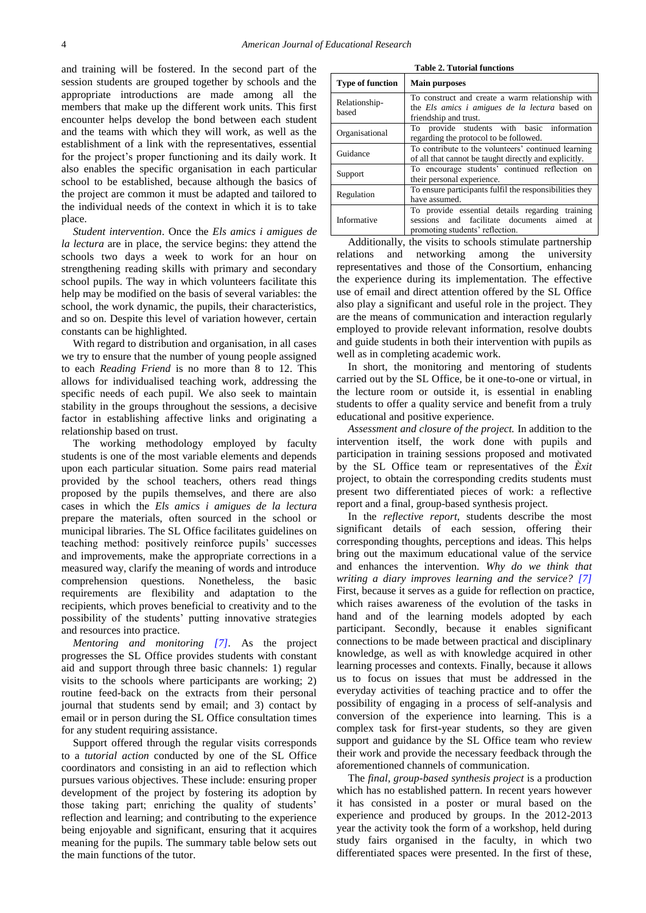and training will be fostered. In the second part of the session students are grouped together by schools and the appropriate introductions are made among all the members that make up the different work units. This first encounter helps develop the bond between each student and the teams with which they will work, as well as the establishment of a link with the representatives, essential for the project's proper functioning and its daily work. It also enables the specific organisation in each particular school to be established, because although the basics of the project are common it must be adapted and tailored to the individual needs of the context in which it is to take place.

*Student intervention*. Once the *Els amics i amigues de la lectura* are in place, the service begins: they attend the schools two days a week to work for an hour on strengthening reading skills with primary and secondary school pupils. The way in which volunteers facilitate this help may be modified on the basis of several variables: the school, the work dynamic, the pupils, their characteristics, and so on. Despite this level of variation however, certain constants can be highlighted.

With regard to distribution and organisation, in all cases we try to ensure that the number of young people assigned to each *Reading Friend* is no more than 8 to 12. This allows for individualised teaching work, addressing the specific needs of each pupil. We also seek to maintain stability in the groups throughout the sessions, a decisive factor in establishing affective links and originating a relationship based on trust.

The working methodology employed by faculty students is one of the most variable elements and depends upon each particular situation. Some pairs read material provided by the school teachers, others read things proposed by the pupils themselves, and there are also cases in which the *Els amics i amigues de la lectura* prepare the materials, often sourced in the school or municipal libraries. The SL Office facilitates guidelines on teaching method: positively reinforce pupils' successes and improvements, make the appropriate corrections in a measured way, clarify the meaning of words and introduce comprehension questions. Nonetheless, the basic requirements are flexibility and adaptation to the recipients, which proves beneficial to creativity and to the possibility of the students' putting innovative strategies and resources into practice.

*Mentoring and monitoring [\[7\].](#page-6-6)* As the project progresses the SL Office provides students with constant aid and support through three basic channels: 1) regular visits to the schools where participants are working; 2) routine feed-back on the extracts from their personal journal that students send by email; and 3) contact by email or in person during the SL Office consultation times for any student requiring assistance.

Support offered through the regular visits corresponds to a *tutorial action* conducted by one of the SL Office coordinators and consisting in an aid to reflection which pursues various objectives. These include: ensuring proper development of the project by fostering its adoption by those taking part; enriching the quality of students' reflection and learning; and contributing to the experience being enjoyable and significant, ensuring that it acquires meaning for the pupils. The summary table below sets out the main functions of the tutor.

| <b>Type of function</b> | <b>Main purposes</b>                                                                                                                  |  |  |  |  |
|-------------------------|---------------------------------------------------------------------------------------------------------------------------------------|--|--|--|--|
|                         |                                                                                                                                       |  |  |  |  |
| Relationship-<br>based  | To construct and create a warm relationship with<br>the Els amics i amigues de la lectura based on<br>friendship and trust.           |  |  |  |  |
| Organisational          | To provide students with basic information<br>regarding the protocol to be followed.                                                  |  |  |  |  |
| Guidance                | To contribute to the volunteers' continued learning<br>of all that cannot be taught directly and explicitly.                          |  |  |  |  |
| Support                 | To encourage students' continued reflection on<br>their personal experience.                                                          |  |  |  |  |
| Regulation              | To ensure participants fulfil the responsibilities they<br>have assumed.                                                              |  |  |  |  |
| Informative             | To provide essential details regarding training<br>sessions and facilitate documents aimed at<br>promoting students' reflection.<br>. |  |  |  |  |

Additionally, the visits to schools stimulate partnership relations and networking among the university representatives and those of the Consortium, enhancing the experience during its implementation. The effective use of email and direct attention offered by the SL Office also play a significant and useful role in the project. They are the means of communication and interaction regularly employed to provide relevant information, resolve doubts and guide students in both their intervention with pupils as well as in completing academic work.

In short, the monitoring and mentoring of students carried out by the SL Office, be it one-to-one or virtual, in the lecture room or outside it, is essential in enabling students to offer a quality service and benefit from a truly educational and positive experience.

*Assessment and closure of the project.* In addition to the intervention itself, the work done with pupils and participation in training sessions proposed and motivated by the SL Office team or representatives of the *Èxit*  project, to obtain the corresponding credits students must present two differentiated pieces of work: a reflective report and a final, group-based synthesis project.

In the *reflective report*, students describe the most significant details of each session, offering their corresponding thoughts, perceptions and ideas. This helps bring out the maximum educational value of the service and enhances the intervention. *Why do we think that writing a diary improves learning and the service? [\[7\]](#page-6-6)* First, because it serves as a guide for reflection on practice, which raises awareness of the evolution of the tasks in hand and of the learning models adopted by each participant. Secondly, because it enables significant connections to be made between practical and disciplinary knowledge, as well as with knowledge acquired in other learning processes and contexts. Finally, because it allows us to focus on issues that must be addressed in the everyday activities of teaching practice and to offer the possibility of engaging in a process of self-analysis and conversion of the experience into learning. This is a complex task for first-year students, so they are given support and guidance by the SL Office team who review their work and provide the necessary feedback through the aforementioned channels of communication.

The *final, group-based synthesis project* is a production which has no established pattern. In recent years however it has consisted in a poster or mural based on the experience and produced by groups. In the 2012-2013 year the activity took the form of a workshop, held during study fairs organised in the faculty, in which two differentiated spaces were presented. In the first of these,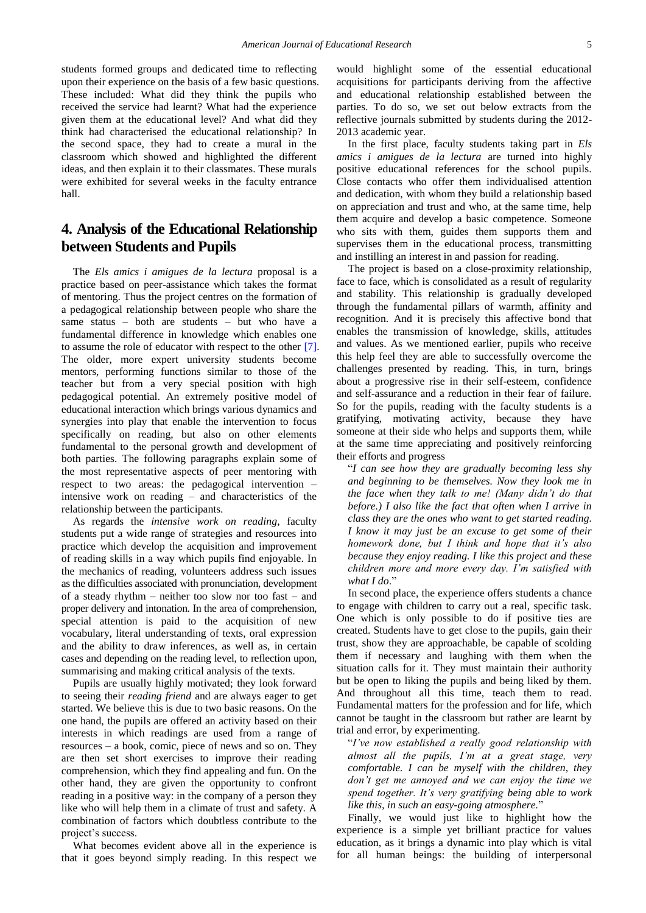students formed groups and dedicated time to reflecting upon their experience on the basis of a few basic questions. These included: What did they think the pupils who received the service had learnt? What had the experience given them at the educational level? And what did they think had characterised the educational relationship? In the second space, they had to create a mural in the classroom which showed and highlighted the different ideas, and then explain it to their classmates. These murals were exhibited for several weeks in the faculty entrance hall.

## **4. Analysis of the Educational Relationship between Students and Pupils**

The *Els amics i amigues de la lectura* proposal is a practice based on peer-assistance which takes the format of mentoring. Thus the project centres on the formation of a pedagogical relationship between people who share the same status – both are students – but who have a fundamental difference in knowledge which enables one to assume the role of educator with respect to the other [\[7\].](#page-6-6) The older, more expert university students become mentors, performing functions similar to those of the teacher but from a very special position with high pedagogical potential. An extremely positive model of educational interaction which brings various dynamics and synergies into play that enable the intervention to focus specifically on reading, but also on other elements fundamental to the personal growth and development of both parties. The following paragraphs explain some of the most representative aspects of peer mentoring with respect to two areas: the pedagogical intervention – intensive work on reading – and characteristics of the relationship between the participants.

As regards the *intensive work on reading*, faculty students put a wide range of strategies and resources into practice which develop the acquisition and improvement of reading skills in a way which pupils find enjoyable. In the mechanics of reading, volunteers address such issues as the difficulties associated with pronunciation, development of a steady rhythm – neither too slow nor too fast – and proper delivery and intonation. In the area of comprehension, special attention is paid to the acquisition of new vocabulary, literal understanding of texts, oral expression and the ability to draw inferences, as well as, in certain cases and depending on the reading level, to reflection upon, summarising and making critical analysis of the texts.

Pupils are usually highly motivated; they look forward to seeing their *reading friend* and are always eager to get started. We believe this is due to two basic reasons. On the one hand, the pupils are offered an activity based on their interests in which readings are used from a range of resources – a book, comic, piece of news and so on. They are then set short exercises to improve their reading comprehension, which they find appealing and fun. On the other hand, they are given the opportunity to confront reading in a positive way: in the company of a person they like who will help them in a climate of trust and safety. A combination of factors which doubtless contribute to the project's success.

What becomes evident above all in the experience is that it goes beyond simply reading. In this respect we would highlight some of the essential educational acquisitions for participants deriving from the affective and educational relationship established between the parties. To do so, we set out below extracts from the reflective journals submitted by students during the 2012- 2013 academic year.

In the first place, faculty students taking part in *Els amics i amigues de la lectura* are turned into highly positive educational references for the school pupils. Close contacts who offer them individualised attention and dedication, with whom they build a relationship based on appreciation and trust and who, at the same time, help them acquire and develop a basic competence. Someone who sits with them, guides them supports them and supervises them in the educational process, transmitting and instilling an interest in and passion for reading.

The project is based on a close-proximity relationship, face to face, which is consolidated as a result of regularity and stability. This relationship is gradually developed through the fundamental pillars of warmth, affinity and recognition. And it is precisely this affective bond that enables the transmission of knowledge, skills, attitudes and values. As we mentioned earlier, pupils who receive this help feel they are able to successfully overcome the challenges presented by reading. This, in turn, brings about a progressive rise in their self-esteem, confidence and self-assurance and a reduction in their fear of failure. So for the pupils, reading with the faculty students is a gratifying, motivating activity, because they have someone at their side who helps and supports them, while at the same time appreciating and positively reinforcing their efforts and progress

"*I can see how they are gradually becoming less shy and beginning to be themselves. Now they look me in the face when they talk to me! (Many didn't do that before.) I also like the fact that often when I arrive in class they are the ones who want to get started reading. I know it may just be an excuse to get some of their homework done, but I think and hope that it's also because they enjoy reading. I like this project and these children more and more every day. I'm satisfied with what I do*."

In second place, the experience offers students a chance to engage with children to carry out a real, specific task. One which is only possible to do if positive ties are created. Students have to get close to the pupils, gain their trust, show they are approachable, be capable of scolding them if necessary and laughing with them when the situation calls for it. They must maintain their authority but be open to liking the pupils and being liked by them. And throughout all this time, teach them to read. Fundamental matters for the profession and for life, which cannot be taught in the classroom but rather are learnt by trial and error, by experimenting.

"*I've now established a really good relationship with almost all the pupils, I'm at a great stage, very comfortable. I can be myself with the children, they don't get me annoyed and we can enjoy the time we spend together. It's very gratifying being able to work like this, in such an easy-going atmosphere.*"

Finally, we would just like to highlight how the experience is a simple yet brilliant practice for values education, as it brings a dynamic into play which is vital for all human beings: the building of interpersonal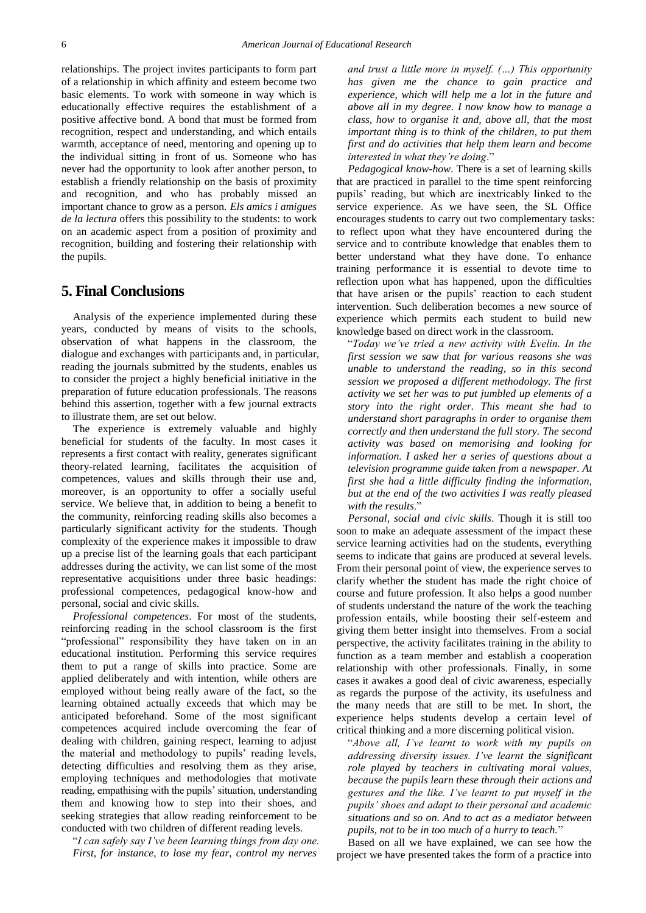relationships. The project invites participants to form part of a relationship in which affinity and esteem become two basic elements. To work with someone in way which is educationally effective requires the establishment of a positive affective bond. A bond that must be formed from recognition, respect and understanding, and which entails warmth, acceptance of need, mentoring and opening up to the individual sitting in front of us. Someone who has never had the opportunity to look after another person, to establish a friendly relationship on the basis of proximity and recognition, and who has probably missed an important chance to grow as a person. *Els amics i amigues de la lectura* offers this possibility to the students: to work on an academic aspect from a position of proximity and recognition, building and fostering their relationship with the pupils.

#### **5. Final Conclusions**

Analysis of the experience implemented during these years, conducted by means of visits to the schools, observation of what happens in the classroom, the dialogue and exchanges with participants and, in particular, reading the journals submitted by the students, enables us to consider the project a highly beneficial initiative in the preparation of future education professionals. The reasons behind this assertion, together with a few journal extracts to illustrate them, are set out below.

The experience is extremely valuable and highly beneficial for students of the faculty. In most cases it represents a first contact with reality, generates significant theory-related learning, facilitates the acquisition of competences, values and skills through their use and, moreover, is an opportunity to offer a socially useful service. We believe that, in addition to being a benefit to the community, reinforcing reading skills also becomes a particularly significant activity for the students. Though complexity of the experience makes it impossible to draw up a precise list of the learning goals that each participant addresses during the activity, we can list some of the most representative acquisitions under three basic headings: professional competences, pedagogical know-how and personal, social and civic skills.

*Professional competences*. For most of the students, reinforcing reading in the school classroom is the first "professional" responsibility they have taken on in an educational institution. Performing this service requires them to put a range of skills into practice. Some are applied deliberately and with intention, while others are employed without being really aware of the fact, so the learning obtained actually exceeds that which may be anticipated beforehand. Some of the most significant competences acquired include overcoming the fear of dealing with children, gaining respect, learning to adjust the material and methodology to pupils' reading levels, detecting difficulties and resolving them as they arise, employing techniques and methodologies that motivate reading, empathising with the pupils' situation, understanding them and knowing how to step into their shoes, and seeking strategies that allow reading reinforcement to be conducted with two children of different reading levels.

"*I can safely say I've been learning things from day one. First, for instance, to lose my fear, control my nerves* 

*and trust a little more in myself. (…) This opportunity has given me the chance to gain practice and experience, which will help me a lot in the future and above all in my degree. I now know how to manage a class, how to organise it and, above all, that the most important thing is to think of the children, to put them first and do activities that help them learn and become interested in what they're doing*."

*Pedagogical know-how*. There is a set of learning skills that are practiced in parallel to the time spent reinforcing pupils' reading, but which are inextricably linked to the service experience. As we have seen, the SL Office encourages students to carry out two complementary tasks: to reflect upon what they have encountered during the service and to contribute knowledge that enables them to better understand what they have done. To enhance training performance it is essential to devote time to reflection upon what has happened, upon the difficulties that have arisen or the pupils' reaction to each student intervention. Such deliberation becomes a new source of experience which permits each student to build new knowledge based on direct work in the classroom.

"*Today we've tried a new activity with Evelin. In the first session we saw that for various reasons she was unable to understand the reading, so in this second session we proposed a different methodology. The first activity we set her was to put jumbled up elements of a story into the right order. This meant she had to understand short paragraphs in order to organise them correctly and then understand the full story. The second activity was based on memorising and looking for information. I asked her a series of questions about a television programme guide taken from a newspaper. At first she had a little difficulty finding the information, but at the end of the two activities I was really pleased with the results*."

*Personal, social and civic skills*. Though it is still too soon to make an adequate assessment of the impact these service learning activities had on the students, everything seems to indicate that gains are produced at several levels. From their personal point of view, the experience serves to clarify whether the student has made the right choice of course and future profession. It also helps a good number of students understand the nature of the work the teaching profession entails, while boosting their self-esteem and giving them better insight into themselves. From a social perspective, the activity facilitates training in the ability to function as a team member and establish a cooperation relationship with other professionals. Finally, in some cases it awakes a good deal of civic awareness, especially as regards the purpose of the activity, its usefulness and the many needs that are still to be met. In short, the experience helps students develop a certain level of critical thinking and a more discerning political vision.

"*Above all, I've learnt to work with my pupils on addressing diversity issues. I've learnt the significant role played by teachers in cultivating moral values, because the pupils learn these through their actions and gestures and the like. I've learnt to put myself in the pupils' shoes and adapt to their personal and academic situations and so on. And to act as a mediator between pupils, not to be in too much of a hurry to teach.*"

Based on all we have explained, we can see how the project we have presented takes the form of a practice into